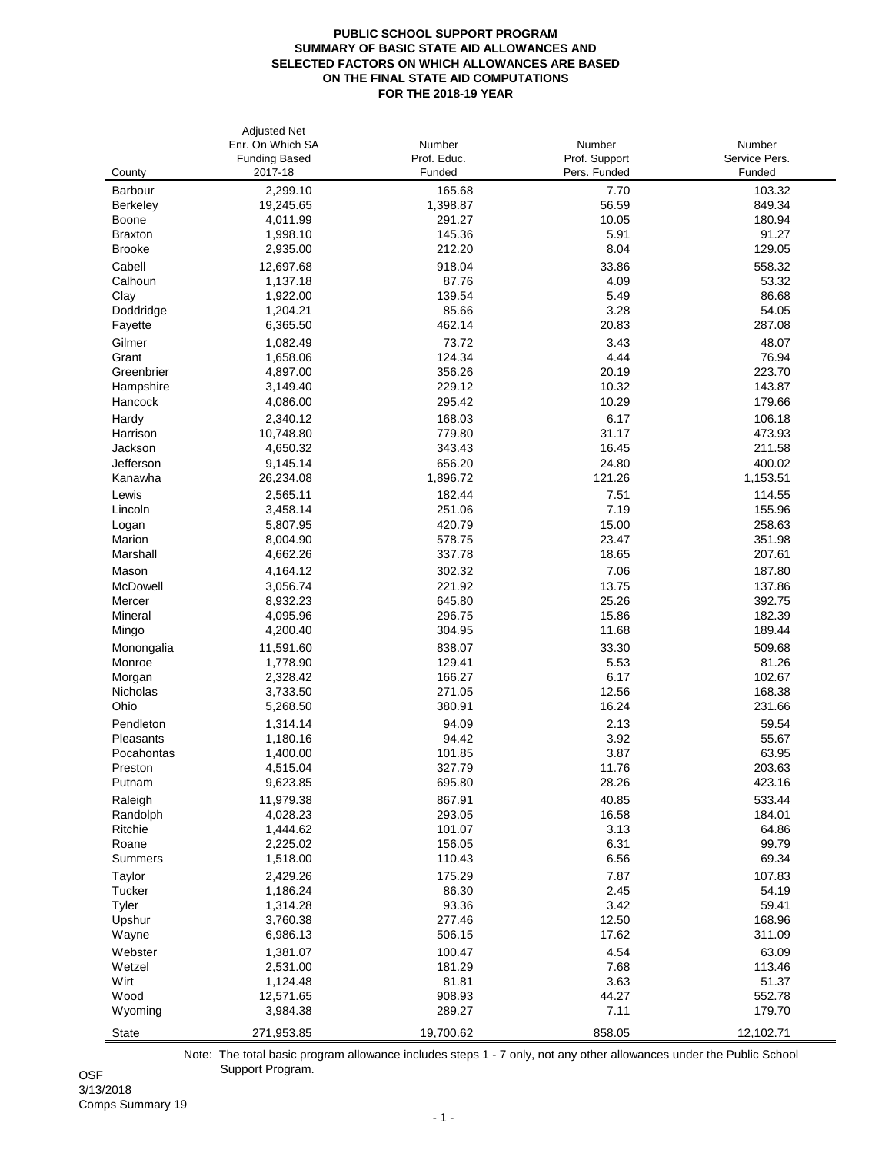## **PUBLIC SCHOOL SUPPORT PROGRAM SUMMARY OF BASIC STATE AID ALLOWANCES AND SELECTED FACTORS ON WHICH ALLOWANCES ARE BASED ON THE FINAL STATE AID COMPUTATIONS FOR THE 2018-19 YEAR**

|                         | <b>Adjusted Net</b><br>Enr. On Which SA<br><b>Funding Based</b> | Number<br>Prof. Educ. | Number<br>Prof. Support | Number<br>Service Pers. |
|-------------------------|-----------------------------------------------------------------|-----------------------|-------------------------|-------------------------|
| County                  | 2017-18                                                         | Funded                | Pers. Funded            | Funded                  |
| Barbour                 | 2,299.10                                                        | 165.68                | 7.70                    | 103.32                  |
| Berkeley                | 19,245.65                                                       | 1,398.87<br>291.27    | 56.59<br>10.05          | 849.34<br>180.94        |
| Boone<br><b>Braxton</b> | 4,011.99<br>1,998.10                                            | 145.36                | 5.91                    | 91.27                   |
| <b>Brooke</b>           | 2,935.00                                                        | 212.20                | 8.04                    | 129.05                  |
| Cabell                  | 12,697.68                                                       | 918.04                | 33.86                   | 558.32                  |
| Calhoun                 | 1,137.18                                                        | 87.76                 | 4.09                    | 53.32                   |
| Clay                    | 1,922.00                                                        | 139.54                | 5.49                    | 86.68                   |
| Doddridge               | 1,204.21                                                        | 85.66                 | 3.28                    | 54.05                   |
| Fayette                 | 6,365.50                                                        | 462.14                | 20.83                   | 287.08                  |
| Gilmer                  | 1,082.49                                                        | 73.72                 | 3.43                    | 48.07                   |
| Grant                   | 1,658.06                                                        | 124.34                | 4.44                    | 76.94                   |
| Greenbrier              | 4,897.00                                                        | 356.26                | 20.19                   | 223.70                  |
| Hampshire               | 3,149.40                                                        | 229.12                | 10.32                   | 143.87                  |
| Hancock                 | 4,086.00                                                        | 295.42                | 10.29                   | 179.66                  |
| Hardy                   | 2,340.12                                                        | 168.03                | 6.17                    | 106.18                  |
| Harrison                | 10,748.80                                                       | 779.80                | 31.17                   | 473.93                  |
| Jackson                 | 4,650.32                                                        | 343.43                | 16.45<br>24.80          | 211.58                  |
| Jefferson<br>Kanawha    | 9,145.14<br>26,234.08                                           | 656.20<br>1,896.72    | 121.26                  | 400.02<br>1,153.51      |
| Lewis                   |                                                                 | 182.44                | 7.51                    | 114.55                  |
| Lincoln                 | 2,565.11<br>3,458.14                                            | 251.06                | 7.19                    | 155.96                  |
| Logan                   | 5,807.95                                                        | 420.79                | 15.00                   | 258.63                  |
| Marion                  | 8,004.90                                                        | 578.75                | 23.47                   | 351.98                  |
| Marshall                | 4,662.26                                                        | 337.78                | 18.65                   | 207.61                  |
| Mason                   | 4,164.12                                                        | 302.32                | 7.06                    | 187.80                  |
| McDowell                | 3,056.74                                                        | 221.92                | 13.75                   | 137.86                  |
| Mercer                  | 8,932.23                                                        | 645.80                | 25.26                   | 392.75                  |
| Mineral                 | 4,095.96                                                        | 296.75                | 15.86                   | 182.39                  |
| Mingo                   | 4,200.40                                                        | 304.95                | 11.68                   | 189.44                  |
| Monongalia              | 11,591.60                                                       | 838.07                | 33.30                   | 509.68                  |
| Monroe                  | 1,778.90                                                        | 129.41                | 5.53                    | 81.26                   |
| Morgan                  | 2,328.42                                                        | 166.27                | 6.17                    | 102.67                  |
| Nicholas                | 3,733.50                                                        | 271.05                | 12.56                   | 168.38                  |
| Ohio                    | 5,268.50                                                        | 380.91                | 16.24                   | 231.66                  |
| Pendleton               | 1,314.14<br>1,180.16                                            | 94.09<br>94.42        | 2.13                    | 59.54                   |
| Pleasants<br>Pocahontas | 1,400.00                                                        | 101.85                | 3.92<br>3.87            | 55.67<br>63.95          |
| Preston                 | 4,515.04                                                        | 327.79                | 11.76                   | 203.63                  |
| Putnam                  | 9,623.85                                                        | 695.80                | 28.26                   | 423.16                  |
| Raleigh                 | 11,979.38                                                       | 867.91                | 40.85                   | 533.44                  |
| Randolph                | 4,028.23                                                        | 293.05                | 16.58                   | 184.01                  |
| Ritchie                 | 1,444.62                                                        | 101.07                | 3.13                    | 64.86                   |
| Roane                   | 2,225.02                                                        | 156.05                | 6.31                    | 99.79                   |
| Summers                 | 1,518.00                                                        | 110.43                | 6.56                    | 69.34                   |
| Taylor                  | 2,429.26                                                        | 175.29                | 7.87                    | 107.83                  |
| Tucker                  | 1,186.24                                                        | 86.30                 | 2.45                    | 54.19                   |
| Tyler                   | 1,314.28                                                        | 93.36                 | 3.42                    | 59.41                   |
| Upshur                  | 3,760.38                                                        | 277.46                | 12.50                   | 168.96                  |
| Wayne                   | 6,986.13                                                        | 506.15                | 17.62                   | 311.09                  |
| Webster                 | 1,381.07                                                        | 100.47                | 4.54                    | 63.09                   |
| Wetzel                  | 2,531.00                                                        | 181.29                | 7.68                    | 113.46                  |
| Wirt<br>Wood            | 1,124.48<br>12,571.65                                           | 81.81<br>908.93       | 3.63<br>44.27           | 51.37<br>552.78         |
| Wyoming                 | 3,984.38                                                        | 289.27                | 7.11                    | 179.70                  |
|                         |                                                                 |                       |                         |                         |
| <b>State</b>            | 271,953.85                                                      | 19,700.62             | 858.05                  | 12,102.71               |

Note: The total basic program allowance includes steps 1 - 7 only, not any other allowances under the Public School OSF Support Program.